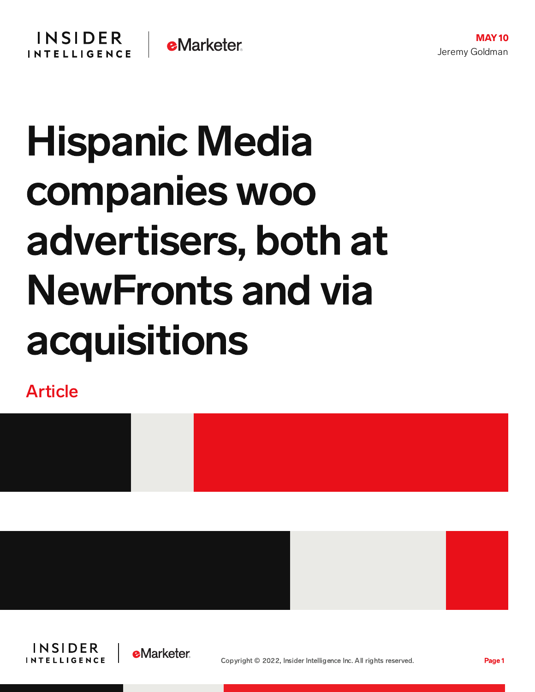

## Hispanic Media companies woo advertisers, both at NewFronts and via acquisitions

Article









Copyright © 2022, Insider Intelligence Inc. All rights reserved. Page 1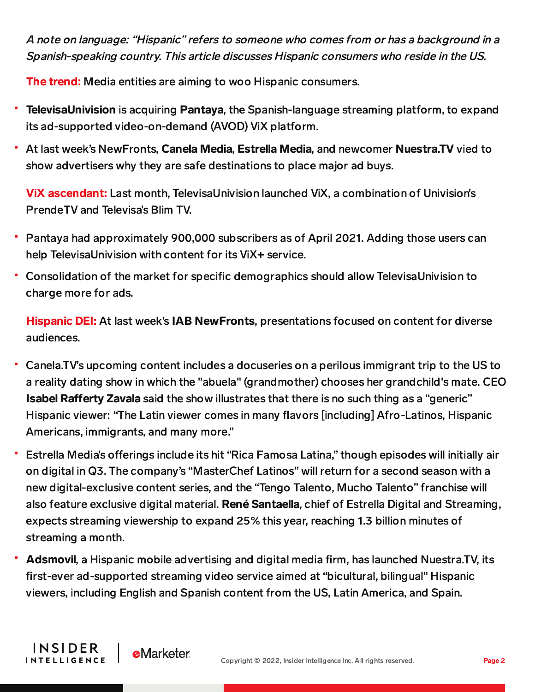A note on language: "Hispanic" refers to someone who comes from or has <sup>a</sup> background in <sup>a</sup> Spanish-speaking country. This article discusses Hispanic consumers who reside in the US.

The trend: Media entities are aiming to woo Hispanic consumers.

- TelevisaUnivision is acquiring Pantaya, the Spanish-language streaming platform, to expand its ad-supported video-on-demand (AVOD) ViX platform.
- At last week's NewFronts, Canela Media, Estrella Media, and newcomer Nuestra.TV vied to show advertisers why they are safe destinations to place major ad buys.

ViX ascendant: Last month, TelevisaUnivision launched ViX, a combination of Univision's PrendeTV and Televisa's Blim TV.

- Pantaya had approximately 900,000 subscribers as of April 2021. Adding those users can help TelevisaUnivision with content for its ViX+ service.
- Consolidation of the market for specific demographics should allow TelevisaUnivision to charge more for ads.

Hispanic DEI: At last week's IAB NewFronts, presentations focused on content for diverse audiences.

- Canela.TV's upcoming content includes a docuseries on a perilous immigrant trip to the US to a reality dating show in which the "abuela" (grandmother) chooses her grandchild's mate. CEO **Isabel Rafferty Zavala** said the show illustrates that there is no such thing as a "generic" Hispanic viewer: "The Latin viewer comes in many flavors [including] Afro-Latinos, Hispanic Americans, immigrants, and many more."
- Estrella Media's offerings include its hit "Rica Famosa Latina," though episodes will initially air on digital in Q3. The company's "MasterChef Latinos" will return for a second season with a new digital-exclusive content series, and the "Tengo Talento, Mucho Talento" franchise will also feature exclusive digital material. René Santaella, chief of Estrella Digital and Streaming, expects streaming viewership to expand 25% this year, reaching 1.3 billion minutes of streaming a month.
- Adsmovil, a Hispanic mobile advertising and digital media firm, has launched Nuestra.TV, its first-ever ad-supported streaming video service aimed at "bicultural, bilingual" Hispanic viewers, including English and Spanish content from the US, Latin America, and Spain.

**INSIDER** 

**INTELLIGENCE** 

**e**Marketer